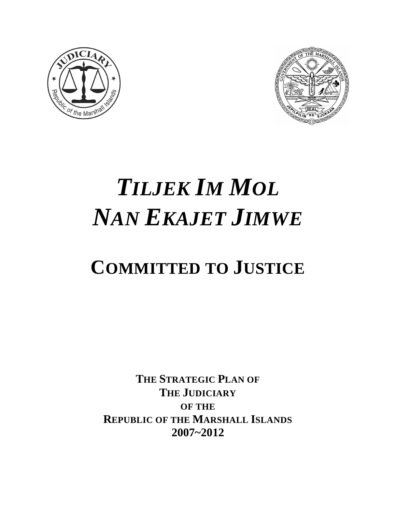



# *TILJEK IM MOL NAN EKAJET JIMWE*

# **COMMITTED TO JUSTICE**

**THE STRATEGIC PLAN OF THE JUDICIARY OF THE REPUBLIC OF THE MARSHALL ISLANDS 2007~2012**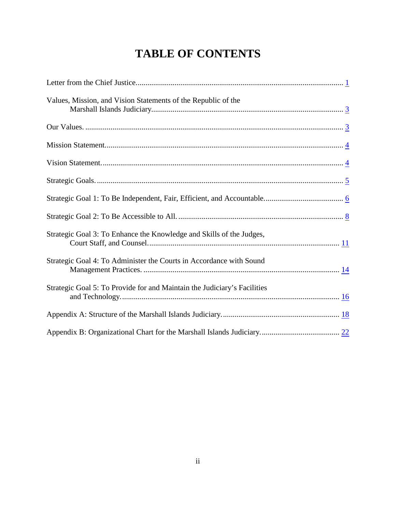# **TABLE OF CONTENTS**

| Values, Mission, and Vision Statements of the Republic of the            |
|--------------------------------------------------------------------------|
|                                                                          |
|                                                                          |
|                                                                          |
|                                                                          |
|                                                                          |
|                                                                          |
| Strategic Goal 3: To Enhance the Knowledge and Skills of the Judges,     |
| Strategic Goal 4: To Administer the Courts in Accordance with Sound      |
| Strategic Goal 5: To Provide for and Maintain the Judiciary's Facilities |
|                                                                          |
|                                                                          |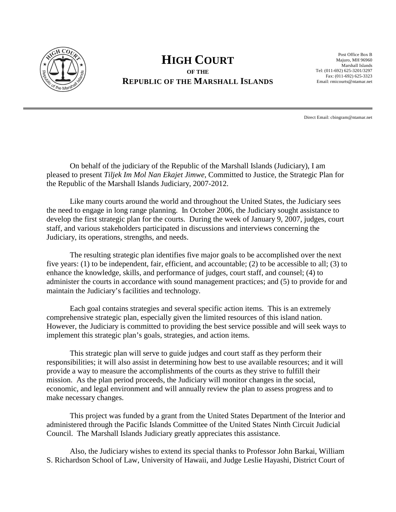<span id="page-2-0"></span>

### **HIGH COURT OF THE REPUBLIC OF THE MARSHALL ISLANDS**

Post Office Box B Majuro, MH 96960 Marshall Islands Tel: (011-692) 625-3201/3297 Fax: (011-692) 625-3323 Email: rmicourts@ntamar.net

Direct Email: cbingram@ntamar.net

On behalf of the judiciary of the Republic of the Marshall Islands (Judiciary), I am pleased to present *Tiljek Im Mol Nan Ekajet Jimwe*, Committed to Justice, the Strategic Plan for the Republic of the Marshall Islands Judiciary, 2007-2012.

Like many courts around the world and throughout the United States, the Judiciary sees the need to engage in long range planning. In October 2006, the Judiciary sought assistance to develop the first strategic plan for the courts. During the week of January 9, 2007, judges, court staff, and various stakeholders participated in discussions and interviews concerning the Judiciary, its operations, strengths, and needs.

The resulting strategic plan identifies five major goals to be accomplished over the next five years: (1) to be independent, fair, efficient, and accountable; (2) to be accessible to all; (3) to enhance the knowledge, skills, and performance of judges, court staff, and counsel; (4) to administer the courts in accordance with sound management practices; and (5) to provide for and maintain the Judiciary's facilities and technology.

Each goal contains strategies and several specific action items. This is an extremely comprehensive strategic plan, especially given the limited resources of this island nation. However, the Judiciary is committed to providing the best service possible and will seek ways to implement this strategic plan's goals, strategies, and action items.

This strategic plan will serve to guide judges and court staff as they perform their responsibilities; it will also assist in determining how best to use available resources; and it will provide a way to measure the accomplishments of the courts as they strive to fulfill their mission. As the plan period proceeds, the Judiciary will monitor changes in the social, economic, and legal environment and will annually review the plan to assess progress and to make necessary changes.

This project was funded by a grant from the United States Department of the Interior and administered through the Pacific Islands Committee of the United States Ninth Circuit Judicial Council. The Marshall Islands Judiciary greatly appreciates this assistance.

Also, the Judiciary wishes to extend its special thanks to Professor John Barkai, William S. Richardson School of Law, University of Hawaii, and Judge Leslie Hayashi, District Court of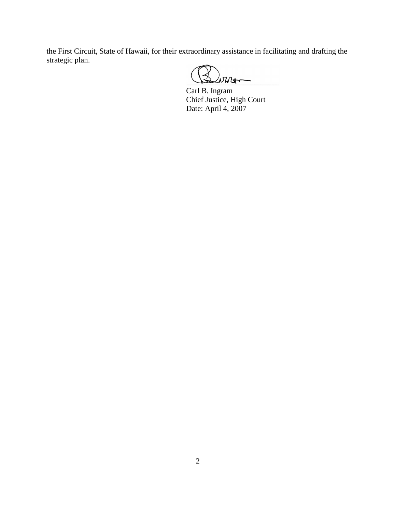the First Circuit, State of Hawaii, for their extraordinary assistance in facilitating and drafting the strategic plan.

 $\omega$ und

Carl B. Ingram Chief Justice, High Court Date: April 4, 2007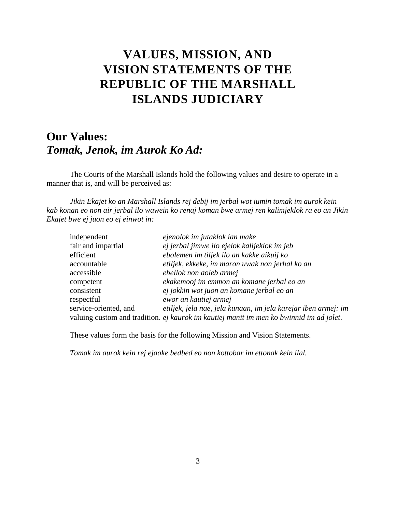# <span id="page-4-0"></span>**VALUES, MISSION, AND VISION STATEMENTS OF THE REPUBLIC OF THE MARSHALL ISLANDS JUDICIARY**

# <span id="page-4-1"></span>**Our Values:** *Tomak, Jenok, im Aurok Ko Ad:*

The Courts of the Marshall Islands hold the following values and desire to operate in a manner that is, and will be perceived as:

*Jikin Ekajet ko an Marshall Islands rej debij im jerbal wot iumin tomak im aurok kein kab konan eo non air jerbal ilo wawein ko renaj koman bwe armej ren kalimjeklok ra eo an Jikin Ekajet bwe ej juon eo ej einwot in:*

| independent           | ejenolok im jutaklok ian make                                                           |
|-----------------------|-----------------------------------------------------------------------------------------|
| fair and impartial    | ej jerbal jimwe ilo ejelok kalijeklok im jeb                                            |
| efficient             | ebolemen im tiljek ilo an kakke aikuij ko                                               |
| accountable           | etiljek, ekkeke, im maron uwak non jerbal ko an                                         |
| accessible            | ebellok non aoleb armej                                                                 |
| competent             | ekakemooj im emmon an komane jerbal eo an                                               |
| consistent            | ej jokkin wot juon an komane jerbal eo an                                               |
| respectful            | ewor an kautiej armej                                                                   |
| service-oriented, and | etiljek, jela nae, jela kunaan, im jela karejar iben armej: im                          |
|                       | valuing custom and tradition. ej kaurok im kautiej manit im men ko bwinnid im ad jolet. |

These values form the basis for the following Mission and Vision Statements.

*Tomak im aurok kein rej ejaake bedbed eo non kottobar im ettonak kein ilal.*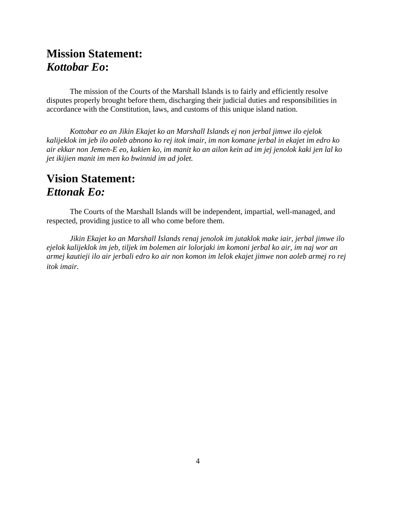# <span id="page-5-0"></span>**Mission Statement:** *Kottobar Eo***:**

The mission of the Courts of the Marshall Islands is to fairly and efficiently resolve disputes properly brought before them, discharging their judicial duties and responsibilities in accordance with the Constitution, laws, and customs of this unique island nation.

*Kottobar eo an Jikin Ekajet ko an Marshall Islands ej non jerbal jimwe ilo ejelok kalijeklok im jeb ilo aoleb abnono ko rej itok imair, im non komane jerbal in ekajet im edro ko air ekkar non Jemen-E eo, kakien ko, im manit ko an ailon kein ad im jej jenolok kaki jen lal ko jet ikijien manit im men ko bwinnid im ad jolet.*

# <span id="page-5-1"></span>**Vision Statement:** *Ettonak Eo:*

The Courts of the Marshall Islands will be independent, impartial, well-managed, and respected, providing justice to all who come before them.

*Jikin Ekajet ko an Marshall Islands renaj jenolok im jutaklok make iair, jerbal jimwe ilo ejelok kalijeklok im jeb, tiljek im bolemen air lolorjaki im komoni jerbal ko air, im naj wor an armej kautieji ilo air jerbali edro ko air non komon im lelok ekajet jimwe non aoleb armej ro rej itok imair.*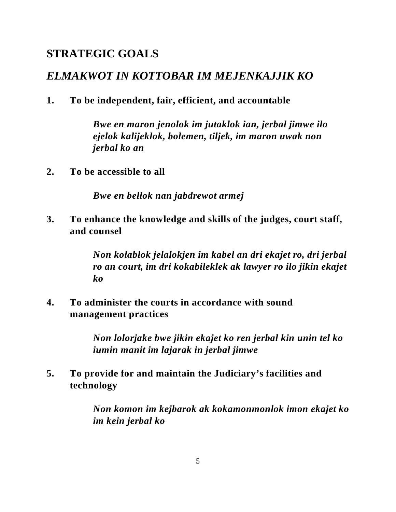# <span id="page-6-0"></span>**STRATEGIC GOALS**

# *ELMAKWOT IN KOTTOBAR IM MEJENKAJJIK KO*

**1. To be independent, fair, efficient, and accountable**

*Bwe en maron jenolok im jutaklok ian, jerbal jimwe ilo ejelok kalijeklok, bolemen, tiljek, im maron uwak non jerbal ko an*

**2. To be accessible to all**

*Bwe en bellok nan jabdrewot armej*

**3. To enhance the knowledge and skills of the judges, court staff, and counsel**

> *Non kolablok jelalokjen im kabel an dri ekajet ro, dri jerbal ro an court, im dri kokabileklek ak lawyer ro ilo jikin ekajet ko*

**4. To administer the courts in accordance with sound management practices**

> *Non lolorjake bwe jikin ekajet ko ren jerbal kin unin tel ko iumin manit im lajarak in jerbal jimwe*

**5. To provide for and maintain the Judiciary's facilities and technology**

> *Non komon im kejbarok ak kokamonmonlok imon ekajet ko im kein jerbal ko*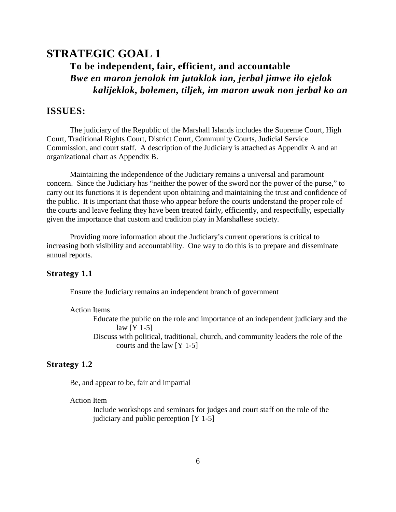## <span id="page-7-0"></span>**STRATEGIC GOAL 1 To be independent, fair, efficient, and accountable** *Bwe en maron jenolok im jutaklok ian, jerbal jimwe ilo ejelok kalijeklok, bolemen, tiljek, im maron uwak non jerbal ko an*

#### **ISSUES:**

The judiciary of the Republic of the Marshall Islands includes the Supreme Court, High Court, Traditional Rights Court, District Court, Community Courts, Judicial Service Commission, and court staff. A description of the Judiciary is attached as Appendix A and an organizational chart as Appendix B.

Maintaining the independence of the Judiciary remains a universal and paramount concern. Since the Judiciary has "neither the power of the sword nor the power of the purse," to carry out its functions it is dependent upon obtaining and maintaining the trust and confidence of the public. It is important that those who appear before the courts understand the proper role of the courts and leave feeling they have been treated fairly, efficiently, and respectfully, especially given the importance that custom and tradition play in Marshallese society.

Providing more information about the Judiciary's current operations is critical to increasing both visibility and accountability. One way to do this is to prepare and disseminate annual reports.

#### **Strategy 1.1**

Ensure the Judiciary remains an independent branch of government

#### Action Items

- Educate the public on the role and importance of an independent judiciary and the law [Y 1-5]
- Discuss with political, traditional, church, and community leaders the role of the courts and the law [Y 1-5]

#### **Strategy 1.2**

Be, and appear to be, fair and impartial

#### Action Item

Include workshops and seminars for judges and court staff on the role of the judiciary and public perception [Y 1-5]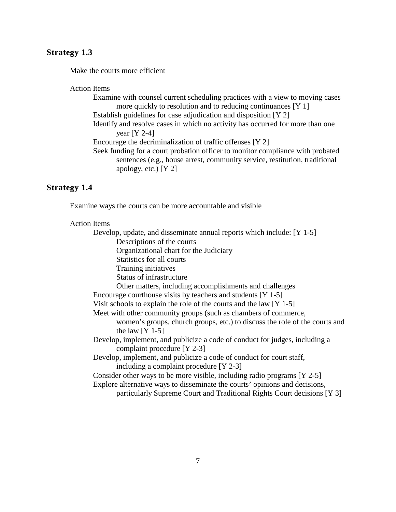#### **Strategy 1.3**

Make the courts more efficient

#### Action Items

Examine with counsel current scheduling practices with a view to moving cases more quickly to resolution and to reducing continuances [Y 1] Establish guidelines for case adjudication and disposition [Y 2] Identify and resolve cases in which no activity has occurred for more than one year [Y 2-4] Encourage the decriminalization of traffic offenses [Y 2] Seek funding for a court probation officer to monitor compliance with probated sentences (e.g., house arrest, community service, restitution, traditional apology, etc.) [Y 2]

#### **Strategy 1.4**

Examine ways the courts can be more accountable and visible

#### Action Items

Develop, update, and disseminate annual reports which include: [Y 1-5] Descriptions of the courts Organizational chart for the Judiciary Statistics for all courts Training initiatives Status of infrastructure Other matters, including accomplishments and challenges Encourage courthouse visits by teachers and students [Y 1-5] Visit schools to explain the role of the courts and the law [Y 1-5] Meet with other community groups (such as chambers of commerce, women's groups, church groups, etc.) to discuss the role of the courts and the law  $[Y 1-5]$ Develop, implement, and publicize a code of conduct for judges, including a complaint procedure [Y 2-3] Develop, implement, and publicize a code of conduct for court staff, including a complaint procedure [Y 2-3] Consider other ways to be more visible, including radio programs [Y 2-5] Explore alternative ways to disseminate the courts' opinions and decisions, particularly Supreme Court and Traditional Rights Court decisions [Y 3]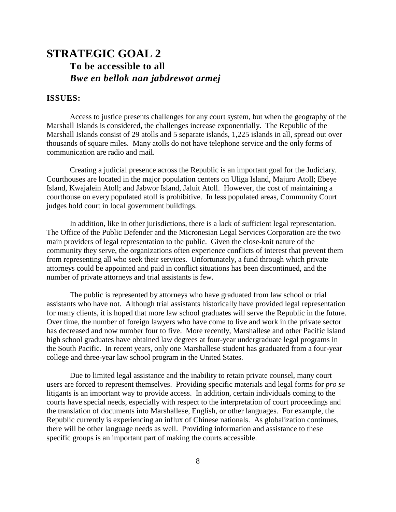# <span id="page-9-0"></span>**STRATEGIC GOAL 2 To be accessible to all** *Bwe en bellok nan jabdrewot armej*

#### **ISSUES:**

Access to justice presents challenges for any court system, but when the geography of the Marshall Islands is considered, the challenges increase exponentially. The Republic of the Marshall Islands consist of 29 atolls and 5 separate islands, 1,225 islands in all, spread out over thousands of square miles. Many atolls do not have telephone service and the only forms of communication are radio and mail.

Creating a judicial presence across the Republic is an important goal for the Judiciary. Courthouses are located in the major population centers on Uliga Island, Majuro Atoll; Ebeye Island, Kwajalein Atoll; and Jabwor Island, Jaluit Atoll. However, the cost of maintaining a courthouse on every populated atoll is prohibitive. In less populated areas, Community Court judges hold court in local government buildings.

In addition, like in other jurisdictions, there is a lack of sufficient legal representation. The Office of the Public Defender and the Micronesian Legal Services Corporation are the two main providers of legal representation to the public. Given the close-knit nature of the community they serve, the organizations often experience conflicts of interest that prevent them from representing all who seek their services. Unfortunately, a fund through which private attorneys could be appointed and paid in conflict situations has been discontinued, and the number of private attorneys and trial assistants is few.

The public is represented by attorneys who have graduated from law school or trial assistants who have not. Although trial assistants historically have provided legal representation for many clients, it is hoped that more law school graduates will serve the Republic in the future. Over time, the number of foreign lawyers who have come to live and work in the private sector has decreased and now number four to five. More recently, Marshallese and other Pacific Island high school graduates have obtained law degrees at four-year undergraduate legal programs in the South Pacific. In recent years, only one Marshallese student has graduated from a four-year college and three-year law school program in the United States.

Due to limited legal assistance and the inability to retain private counsel, many court users are forced to represent themselves. Providing specific materials and legal forms for *pro se* litigants is an important way to provide access. In addition, certain individuals coming to the courts have special needs, especially with respect to the interpretation of court proceedings and the translation of documents into Marshallese, English, or other languages. For example, the Republic currently is experiencing an influx of Chinese nationals. As globalization continues, there will be other language needs as well. Providing information and assistance to these specific groups is an important part of making the courts accessible.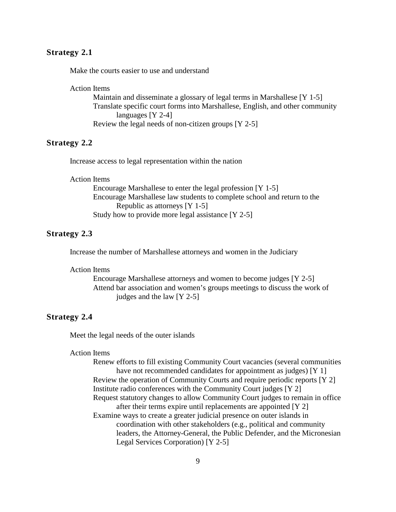#### **Strategy 2.1**

Make the courts easier to use and understand

Action Items

Maintain and disseminate a glossary of legal terms in Marshallese [Y 1-5] Translate specific court forms into Marshallese, English, and other community languages [Y 2-4] Review the legal needs of non-citizen groups [Y 2-5]

#### **Strategy 2.2**

Increase access to legal representation within the nation

Action Items

Encourage Marshallese to enter the legal profession [Y 1-5] Encourage Marshallese law students to complete school and return to the Republic as attorneys [Y 1-5] Study how to provide more legal assistance [Y 2-5]

#### **Strategy 2.3**

Increase the number of Marshallese attorneys and women in the Judiciary

Action Items

Encourage Marshallese attorneys and women to become judges [Y 2-5] Attend bar association and women's groups meetings to discuss the work of judges and the law [Y 2-5]

#### **Strategy 2.4**

Meet the legal needs of the outer islands

#### Action Items

Renew efforts to fill existing Community Court vacancies (several communities have not recommended candidates for appointment as judges) [Y 1] Review the operation of Community Courts and require periodic reports [Y 2] Institute radio conferences with the Community Court judges [Y 2] Request statutory changes to allow Community Court judges to remain in office after their terms expire until replacements are appointed [Y 2] Examine ways to create a greater judicial presence on outer islands in coordination with other stakeholders (e.g., political and community leaders, the Attorney-General, the Public Defender, and the Micronesian Legal Services Corporation) [Y 2-5]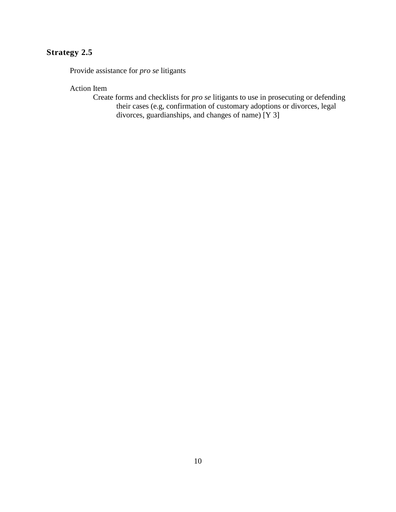### **Strategy 2.5**

Provide assistance for *pro se* litigants

Action Item

Create forms and checklists for *pro se* litigants to use in prosecuting or defending their cases (e.g, confirmation of customary adoptions or divorces, legal divorces, guardianships, and changes of name) [Y 3]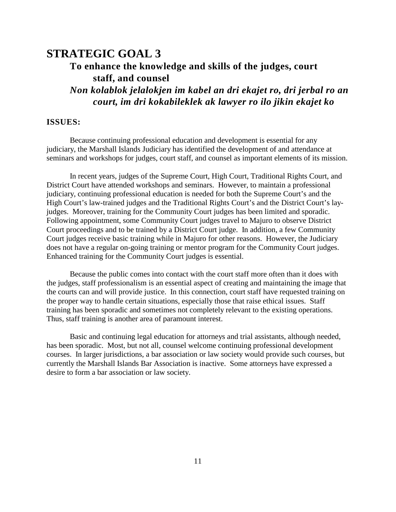# <span id="page-12-0"></span>**STRATEGIC GOAL 3**

### **To enhance the knowledge and skills of the judges, court staff, and counsel**

*Non kolablok jelalokjen im kabel an dri ekajet ro, dri jerbal ro an court, im dri kokabileklek ak lawyer ro ilo jikin ekajet ko*

#### **ISSUES:**

Because continuing professional education and development is essential for any judiciary, the Marshall Islands Judiciary has identified the development of and attendance at seminars and workshops for judges, court staff, and counsel as important elements of its mission.

In recent years, judges of the Supreme Court, High Court, Traditional Rights Court, and District Court have attended workshops and seminars. However, to maintain a professional judiciary, continuing professional education is needed for both the Supreme Court's and the High Court's law-trained judges and the Traditional Rights Court's and the District Court's layjudges. Moreover, training for the Community Court judges has been limited and sporadic. Following appointment, some Community Court judges travel to Majuro to observe District Court proceedings and to be trained by a District Court judge. In addition, a few Community Court judges receive basic training while in Majuro for other reasons. However, the Judiciary does not have a regular on-going training or mentor program for the Community Court judges. Enhanced training for the Community Court judges is essential.

Because the public comes into contact with the court staff more often than it does with the judges, staff professionalism is an essential aspect of creating and maintaining the image that the courts can and will provide justice. In this connection, court staff have requested training on the proper way to handle certain situations, especially those that raise ethical issues. Staff training has been sporadic and sometimes not completely relevant to the existing operations. Thus, staff training is another area of paramount interest.

Basic and continuing legal education for attorneys and trial assistants, although needed, has been sporadic. Most, but not all, counsel welcome continuing professional development courses. In larger jurisdictions, a bar association or law society would provide such courses, but currently the Marshall Islands Bar Association is inactive. Some attorneys have expressed a desire to form a bar association or law society.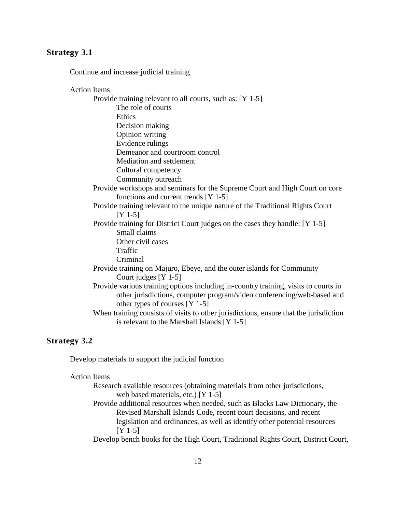#### **Strategy 3.1**

Continue and increase judicial training

Action Items Provide training relevant to all courts, such as: [Y 1-5] The role of courts **Ethics** Decision making Opinion writing Evidence rulings Demeanor and courtroom control Mediation and settlement Cultural competency Community outreach Provide workshops and seminars for the Supreme Court and High Court on core functions and current trends [Y 1-5] Provide training relevant to the unique nature of the Traditional Rights Court [Y 1-5] Provide training for District Court judges on the cases they handle: [Y 1-5] Small claims Other civil cases Traffic Criminal Provide training on Majuro, Ebeye, and the outer islands for Community Court judges [Y 1-5] Provide various training options including in-country training, visits to courts in other jurisdictions, computer program/video conferencing/web-based and other types of courses [Y 1-5] When training consists of visits to other jurisdictions, ensure that the jurisdiction is relevant to the Marshall Islands [Y 1-5]

#### **Strategy 3.2**

Develop materials to support the judicial function

Action Items

Research available resources (obtaining materials from other jurisdictions, web based materials, etc.) [Y 1-5]

Provide additional resources when needed, such as Blacks Law Dictionary, the Revised Marshall Islands Code, recent court decisions, and recent legislation and ordinances, as well as identify other potential resources [Y 1-5]

Develop bench books for the High Court, Traditional Rights Court, District Court,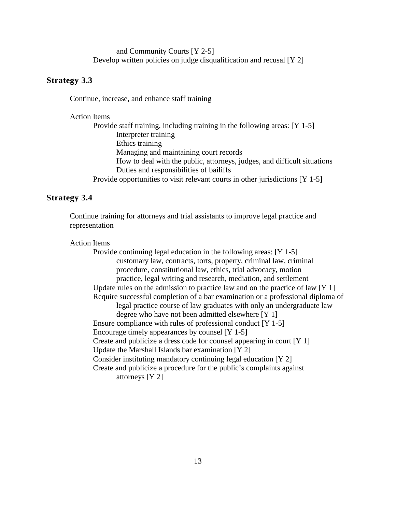and Community Courts [Y 2-5] Develop written policies on judge disqualification and recusal [Y 2]

#### **Strategy 3.3**

Continue, increase, and enhance staff training

Action Items

Provide staff training, including training in the following areas: [Y 1-5] Interpreter training Ethics training Managing and maintaining court records How to deal with the public, attorneys, judges, and difficult situations Duties and responsibilities of bailiffs Provide opportunities to visit relevant courts in other jurisdictions [Y 1-5]

#### **Strategy 3.4**

Continue training for attorneys and trial assistants to improve legal practice and representation

#### Action Items

Provide continuing legal education in the following areas: [Y 1-5] customary law, contracts, torts, property, criminal law, criminal procedure, constitutional law, ethics, trial advocacy, motion practice, legal writing and research, mediation, and settlement Update rules on the admission to practice law and on the practice of law [Y 1] Require successful completion of a bar examination or a professional diploma of legal practice course of law graduates with only an undergraduate law degree who have not been admitted elsewhere [Y 1] Ensure compliance with rules of professional conduct [Y 1-5] Encourage timely appearances by counsel [Y 1-5] Create and publicize a dress code for counsel appearing in court [Y 1] Update the Marshall Islands bar examination [Y 2] Consider instituting mandatory continuing legal education [Y 2] Create and publicize a procedure for the public's complaints against attorneys [Y 2]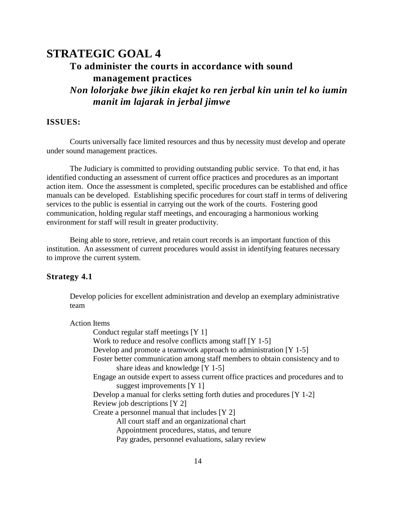# <span id="page-15-0"></span>**STRATEGIC GOAL 4**

# **To administer the courts in accordance with sound management practices**

*Non lolorjake bwe jikin ekajet ko ren jerbal kin unin tel ko iumin manit im lajarak in jerbal jimwe*

#### **ISSUES:**

Courts universally face limited resources and thus by necessity must develop and operate under sound management practices.

The Judiciary is committed to providing outstanding public service. To that end, it has identified conducting an assessment of current office practices and procedures as an important action item. Once the assessment is completed, specific procedures can be established and office manuals can be developed. Establishing specific procedures for court staff in terms of delivering services to the public is essential in carrying out the work of the courts. Fostering good communication, holding regular staff meetings, and encouraging a harmonious working environment for staff will result in greater productivity.

Being able to store, retrieve, and retain court records is an important function of this institution. An assessment of current procedures would assist in identifying features necessary to improve the current system.

#### **Strategy 4.1**

Develop policies for excellent administration and develop an exemplary administrative team

| <b>Action Items</b>                                                               |  |
|-----------------------------------------------------------------------------------|--|
| Conduct regular staff meetings [Y 1]                                              |  |
| Work to reduce and resolve conflicts among staff $[Y 1-5]$                        |  |
| Develop and promote a teamwork approach to administration $[Y 1-5]$               |  |
| Foster better communication among staff members to obtain consistency and to      |  |
| share ideas and knowledge [Y 1-5]                                                 |  |
| Engage an outside expert to assess current office practices and procedures and to |  |
| suggest improvements $[Y 1]$                                                      |  |
| Develop a manual for clerks setting forth duties and procedures [Y 1-2]           |  |
| Review job descriptions [Y 2]                                                     |  |
| Create a personnel manual that includes [Y 2]                                     |  |
| All court staff and an organizational chart                                       |  |
| Appointment procedures, status, and tenure                                        |  |
| Pay grades, personnel evaluations, salary review                                  |  |
|                                                                                   |  |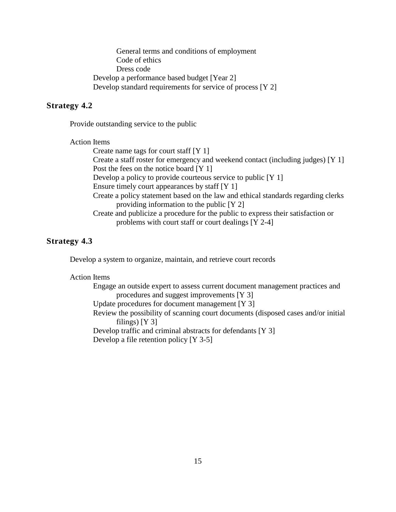General terms and conditions of employment Code of ethics Dress code Develop a performance based budget [Year 2] Develop standard requirements for service of process [Y 2]

#### **Strategy 4.2**

Provide outstanding service to the public

#### Action Items

Create name tags for court staff [Y 1]

Create a staff roster for emergency and weekend contact (including judges) [Y 1] Post the fees on the notice board [Y 1]

Develop a policy to provide courteous service to public [Y 1]

Ensure timely court appearances by staff [Y 1]

Create a policy statement based on the law and ethical standards regarding clerks providing information to the public [Y 2]

Create and publicize a procedure for the public to express their satisfaction or problems with court staff or court dealings [Y 2-4]

#### **Strategy 4.3**

Develop a system to organize, maintain, and retrieve court records

#### Action Items

Engage an outside expert to assess current document management practices and procedures and suggest improvements [Y 3] Update procedures for document management [Y 3] Review the possibility of scanning court documents (disposed cases and/or initial filings)  $[Y 3]$ Develop traffic and criminal abstracts for defendants [Y 3] Develop a file retention policy [Y 3-5]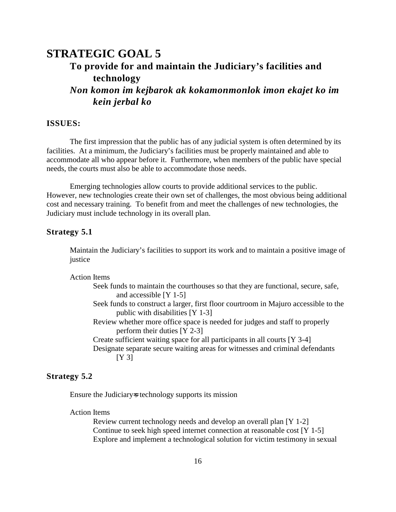# <span id="page-17-0"></span>**STRATEGIC GOAL 5 To provide for and maintain the Judiciary's facilities and technology** *Non komon im kejbarok ak kokamonmonlok imon ekajet ko im*

**ISSUES:**

*kein jerbal ko*

The first impression that the public has of any judicial system is often determined by its facilities. At a minimum, the Judiciary's facilities must be properly maintained and able to accommodate all who appear before it. Furthermore, when members of the public have special needs, the courts must also be able to accommodate those needs.

Emerging technologies allow courts to provide additional services to the public. However, new technologies create their own set of challenges, the most obvious being additional cost and necessary training. To benefit from and meet the challenges of new technologies, the Judiciary must include technology in its overall plan.

#### **Strategy 5.1**

Maintain the Judiciary's facilities to support its work and to maintain a positive image of justice

Action Items

| Seek funds to maintain the courthouses so that they are functional, secure, safe, |  |
|-----------------------------------------------------------------------------------|--|
| and accessible $[Y 1-5]$                                                          |  |

- Seek funds to construct a larger, first floor courtroom in Majuro accessible to the public with disabilities [Y 1-3]
- Review whether more office space is needed for judges and staff to properly perform their duties [Y 2-3]

Create sufficient waiting space for all participants in all courts [Y 3-4] Designate separate secure waiting areas for witnesses and criminal defendants [Y 3]

#### **Strategy 5.2**

Ensure the Judiciary-s technology supports its mission

#### Action Items

Review current technology needs and develop an overall plan [Y 1-2] Continue to seek high speed internet connection at reasonable cost [Y 1-5] Explore and implement a technological solution for victim testimony in sexual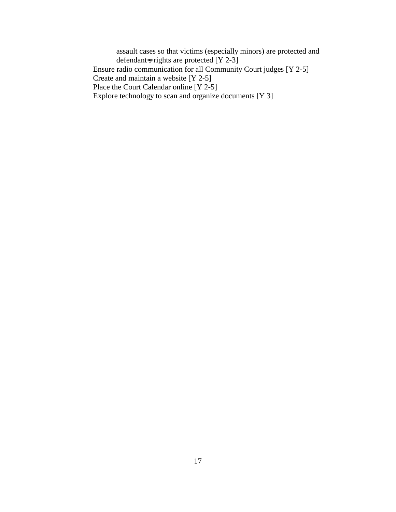assault cases so that victims (especially minors) are protected and defendant=s rights are protected  $[Y 2-3]$ Ensure radio communication for all Community Court judges [Y 2-5] Create and maintain a website [Y 2-5] Place the Court Calendar online [Y 2-5] Explore technology to scan and organize documents [Y 3]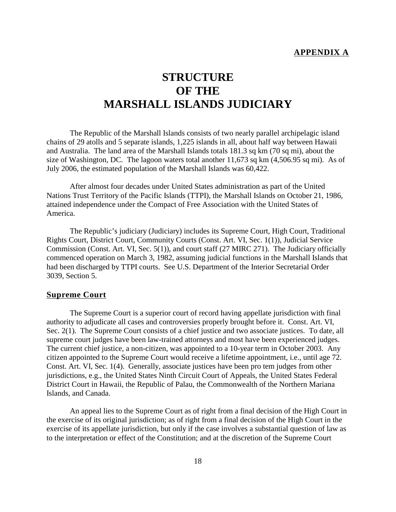#### **APPENDIX A**

# <span id="page-19-0"></span>**STRUCTURE OF THE MARSHALL ISLANDS JUDICIARY**

The Republic of the Marshall Islands consists of two nearly parallel archipelagic island chains of 29 atolls and 5 separate islands, 1,225 islands in all, about half way between Hawaii and Australia. The land area of the Marshall Islands totals 181.3 sq km (70 sq mi), about the size of Washington, DC. The lagoon waters total another 11,673 sq km (4,506.95 sq mi). As of July 2006, the estimated population of the Marshall Islands was 60,422.

After almost four decades under United States administration as part of the United Nations Trust Territory of the Pacific Islands (TTPI), the Marshall Islands on October 21, 1986, attained independence under the Compact of Free Association with the United States of America.

The Republic's judiciary (Judiciary) includes its Supreme Court, High Court, Traditional Rights Court, District Court, Community Courts (Const. Art. VI, Sec. 1(1)), Judicial Service Commission (Const. Art. VI, Sec. 5(1)), and court staff (27 MIRC 271). The Judiciary officially commenced operation on March 3, 1982, assuming judicial functions in the Marshall Islands that had been discharged by TTPI courts. See U.S. Department of the Interior Secretarial Order 3039, Section 5.

#### **Supreme Court**

The Supreme Court is a superior court of record having appellate jurisdiction with final authority to adjudicate all cases and controversies properly brought before it. Const. Art. VI, Sec. 2(1). The Supreme Court consists of a chief justice and two associate justices. To date, all supreme court judges have been law-trained attorneys and most have been experienced judges. The current chief justice, a non-citizen, was appointed to a 10-year term in October 2003. Any citizen appointed to the Supreme Court would receive a lifetime appointment, i.e., until age 72. Const. Art. VI, Sec. 1(4). Generally, associate justices have been pro tem judges from other jurisdictions, e.g., the United States Ninth Circuit Court of Appeals, the United States Federal District Court in Hawaii, the Republic of Palau, the Commonwealth of the Northern Mariana Islands, and Canada.

An appeal lies to the Supreme Court as of right from a final decision of the High Court in the exercise of its original jurisdiction; as of right from a final decision of the High Court in the exercise of its appellate jurisdiction, but only if the case involves a substantial question of law as to the interpretation or effect of the Constitution; and at the discretion of the Supreme Court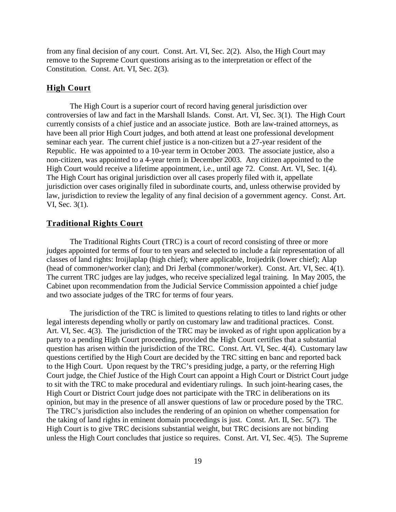from any final decision of any court. Const. Art. VI, Sec. 2(2). Also, the High Court may remove to the Supreme Court questions arising as to the interpretation or effect of the Constitution. Const. Art. VI, Sec. 2(3).

#### **High Court**

The High Court is a superior court of record having general jurisdiction over controversies of law and fact in the Marshall Islands. Const. Art. VI, Sec. 3(1). The High Court currently consists of a chief justice and an associate justice. Both are law-trained attorneys, as have been all prior High Court judges, and both attend at least one professional development seminar each year. The current chief justice is a non-citizen but a 27-year resident of the Republic. He was appointed to a 10-year term in October 2003. The associate justice, also a non-citizen, was appointed to a 4-year term in December 2003. Any citizen appointed to the High Court would receive a lifetime appointment, i.e., until age 72. Const. Art. VI, Sec. 1(4). The High Court has original jurisdiction over all cases properly filed with it, appellate jurisdiction over cases originally filed in subordinate courts, and, unless otherwise provided by law, jurisdiction to review the legality of any final decision of a government agency. Const. Art. VI, Sec. 3(1).

#### **Traditional Rights Court**

The Traditional Rights Court (TRC) is a court of record consisting of three or more judges appointed for terms of four to ten years and selected to include a fair representation of all classes of land rights: Iroijlaplap (high chief); where applicable, Iroijedrik (lower chief); Alap (head of commoner/worker clan); and Dri Jerbal (commoner/worker). Const. Art. VI, Sec. 4(1). The current TRC judges are lay judges, who receive specialized legal training. In May 2005, the Cabinet upon recommendation from the Judicial Service Commission appointed a chief judge and two associate judges of the TRC for terms of four years.

The jurisdiction of the TRC is limited to questions relating to titles to land rights or other legal interests depending wholly or partly on customary law and traditional practices. Const. Art. VI, Sec. 4(3). The jurisdiction of the TRC may be invoked as of right upon application by a party to a pending High Court proceeding, provided the High Court certifies that a substantial question has arisen within the jurisdiction of the TRC. Const. Art. VI, Sec. 4(4). Customary law questions certified by the High Court are decided by the TRC sitting en banc and reported back to the High Court. Upon request by the TRC's presiding judge, a party, or the referring High Court judge, the Chief Justice of the High Court can appoint a High Court or District Court judge to sit with the TRC to make procedural and evidentiary rulings. In such joint-hearing cases, the High Court or District Court judge does not participate with the TRC in deliberations on its opinion, but may in the presence of all answer questions of law or procedure posed by the TRC. The TRC's jurisdiction also includes the rendering of an opinion on whether compensation for the taking of land rights in eminent domain proceedings is just. Const. Art. II, Sec. 5(7). The High Court is to give TRC decisions substantial weight, but TRC decisions are not binding unless the High Court concludes that justice so requires. Const. Art. VI, Sec. 4(5). The Supreme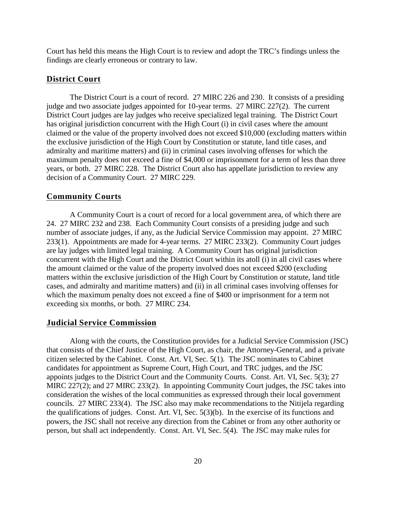Court has held this means the High Court is to review and adopt the TRC's findings unless the findings are clearly erroneous or contrary to law.

#### **District Court**

The District Court is a court of record. 27 MIRC 226 and 230. It consists of a presiding judge and two associate judges appointed for 10-year terms. 27 MIRC 227(2). The current District Court judges are lay judges who receive specialized legal training. The District Court has original jurisdiction concurrent with the High Court (i) in civil cases where the amount claimed or the value of the property involved does not exceed \$10,000 (excluding matters within the exclusive jurisdiction of the High Court by Constitution or statute, land title cases, and admiralty and maritime matters) and (ii) in criminal cases involving offenses for which the maximum penalty does not exceed a fine of \$4,000 or imprisonment for a term of less than three years, or both. 27 MIRC 228. The District Court also has appellate jurisdiction to review any decision of a Community Court. 27 MIRC 229.

#### **Community Courts**

A Community Court is a court of record for a local government area, of which there are 24. 27 MIRC 232 and 238. Each Community Court consists of a presiding judge and such number of associate judges, if any, as the Judicial Service Commission may appoint. 27 MIRC 233(1). Appointments are made for 4-year terms. 27 MIRC 233(2). Community Court judges are lay judges with limited legal training. A Community Court has original jurisdiction concurrent with the High Court and the District Court within its atoll (i) in all civil cases where the amount claimed or the value of the property involved does not exceed \$200 (excluding matters within the exclusive jurisdiction of the High Court by Constitution or statute, land title cases, and admiralty and maritime matters) and (ii) in all criminal cases involving offenses for which the maximum penalty does not exceed a fine of \$400 or imprisonment for a term not exceeding six months, or both. 27 MIRC 234.

#### **Judicial Service Commission**

Along with the courts, the Constitution provides for a Judicial Service Commission (JSC) that consists of the Chief Justice of the High Court, as chair, the Attorney-General, and a private citizen selected by the Cabinet. Const. Art. VI, Sec. 5(1). The JSC nominates to Cabinet candidates for appointment as Supreme Court, High Court, and TRC judges, and the JSC appoints judges to the District Court and the Community Courts. Const. Art. VI, Sec. 5(3); 27 MIRC 227(2); and 27 MIRC 233(2). In appointing Community Court judges, the JSC takes into consideration the wishes of the local communities as expressed through their local government councils. 27 MIRC 233(4). The JSC also may make recommendations to the Nitijela regarding the qualifications of judges. Const. Art. VI, Sec. 5(3)(b). In the exercise of its functions and powers, the JSC shall not receive any direction from the Cabinet or from any other authority or person, but shall act independently. Const. Art. VI, Sec. 5(4). The JSC may make rules for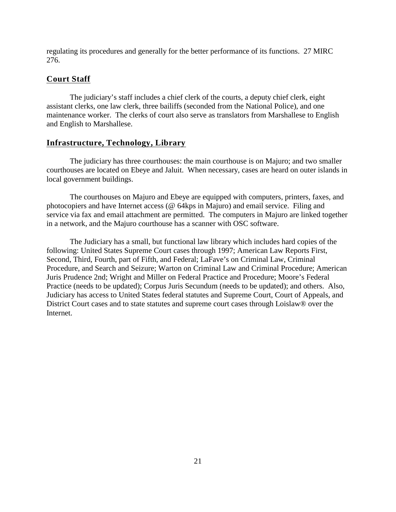regulating its procedures and generally for the better performance of its functions. 27 MIRC 276.

#### **Court Staff**

The judiciary's staff includes a chief clerk of the courts, a deputy chief clerk, eight assistant clerks, one law clerk, three bailiffs (seconded from the National Police), and one maintenance worker. The clerks of court also serve as translators from Marshallese to English and English to Marshallese.

#### **Infrastructure, Technology, Library**

The judiciary has three courthouses: the main courthouse is on Majuro; and two smaller courthouses are located on Ebeye and Jaluit. When necessary, cases are heard on outer islands in local government buildings.

The courthouses on Majuro and Ebeye are equipped with computers, printers, faxes, and photocopiers and have Internet access (@ 64kps in Majuro) and email service. Filing and service via fax and email attachment are permitted. The computers in Majuro are linked together in a network, and the Majuro courthouse has a scanner with OSC software.

The Judiciary has a small, but functional law library which includes hard copies of the following: United States Supreme Court cases through 1997; American Law Reports First, Second, Third, Fourth, part of Fifth, and Federal; LaFave's on Criminal Law, Criminal Procedure, and Search and Seizure; Warton on Criminal Law and Criminal Procedure; American Juris Prudence 2nd; Wright and Miller on Federal Practice and Procedure; Moore's Federal Practice (needs to be updated); Corpus Juris Secundum (needs to be updated); and others. Also, Judiciary has access to United States federal statutes and Supreme Court, Court of Appeals, and District Court cases and to state statutes and supreme court cases through Loislaw® over the Internet.